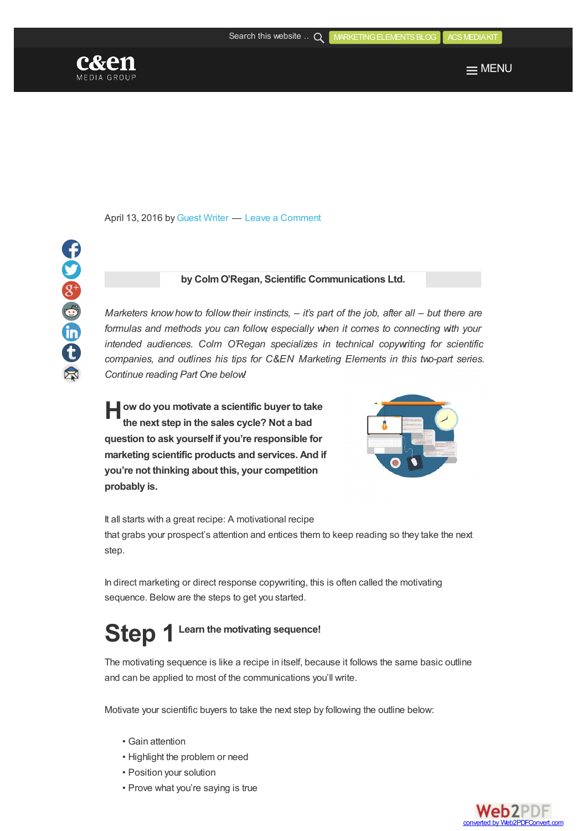

COSSED



April 13, 2016 by [Guest](http://acsmediakit.org/blog/author/guest-writer/) Writer — Leave a [Comment](#page-3-0)

## **by ColmO'Regan, Scientific Communications Ltd.**

*Marketers knowhowto followtheir instincts, – it's part of the job, after all – but there are formulas and methods you can follow, especially when it comes to connecting with your intended audiences. Colm O'Regan specializes in technical copywriting for scientific companies, and outlines his tips for C&EN Marketing Elements in this two-part series. Continue reading Part One below!*

**H ow do you motivate a scientific buyer to take the next step in the sales cycle? Not a bad question to ask yourself if you're responsible for marketing scientific products and services. And if you're not thinking about this, your competition probably is.**



It all starts with a great recipe: A motivational recipe that grabs your prospect's attention and entices them to keep reading so they take the next step.

In direct marketing or direct response copywriting, this is often called the motivating sequence. Below are the steps to get you started.

# **Step 1 Learn the motivating sequence!**

The motivating sequence is like a recipe in itself, because it follows the same basic outline and can be applied to most of the communications you'll write.

Motivate your scientific buyers to take the next step by following the outline below:

- Gain attention
- Highlight the problem or need
- Position your solution
- Prove what you're saying is true

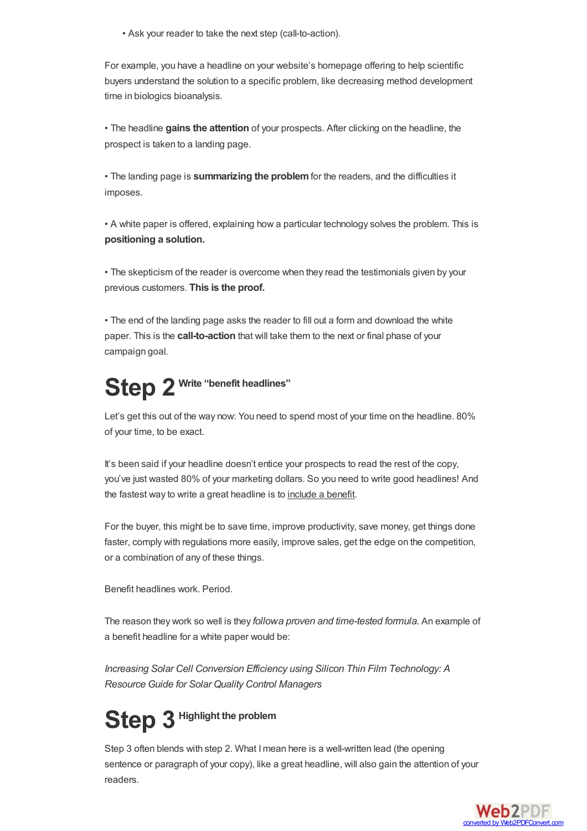• Ask your reader to take the next step (call-to-action).

For example, you have a headline on your website's homepage offering to help scientific buyers understand the solution to a specific problem, like decreasing method development time in biologics bioanalysis.

• The headline **gains the attention** of your prospects. After clicking on the headline, the prospect is taken to a landing page.

• The landing page is **summarizing the problem**for the readers, and the difficulties it imposes.

• A white paper is offered, explaining how a particular technology solves the problem. This is **positioning a solution.**

• The skepticism of the reader is overcome when they read the testimonials given by your previous customers. **This is the proof.**

• The end of the landing page asks the reader to fill out a form and download the white paper. This is the **call-to-action** that will take them to the next or final phase of your campaign goal.

# **Step 2 Write "benefit headlines"**

Let's get this out of the way now: You need to spend most of your time on the headline. 80% of your time, to be exact.

It's been said if your headline doesn't entice your prospects to read the rest of the copy, you've just wasted 80% of your marketing dollars. So you need to write good headlines! And the fastest way to write a great headline is to include a benefit.

For the buyer, this might be to save time, improve productivity, save money, get things done faster, comply with regulations more easily, improve sales, get the edge on the competition, or a combination of any of these things.

Benefit headlines work. Period.

The reason they work so well is they *followa proven and time-tested formula.* An example of a benefit headline for a white paper would be:

*Increasing Solar Cell Conversion Efficiency using Silicon Thin Film Technology: A Resource Guide for Solar Quality Control Managers*

# **Step 3 Highlight the problem**

Step 3 often blends with step 2. What Imean here is a well-written lead (the opening sentence or paragraph of your copy), like a great headline, will also gain the attention of your readers.

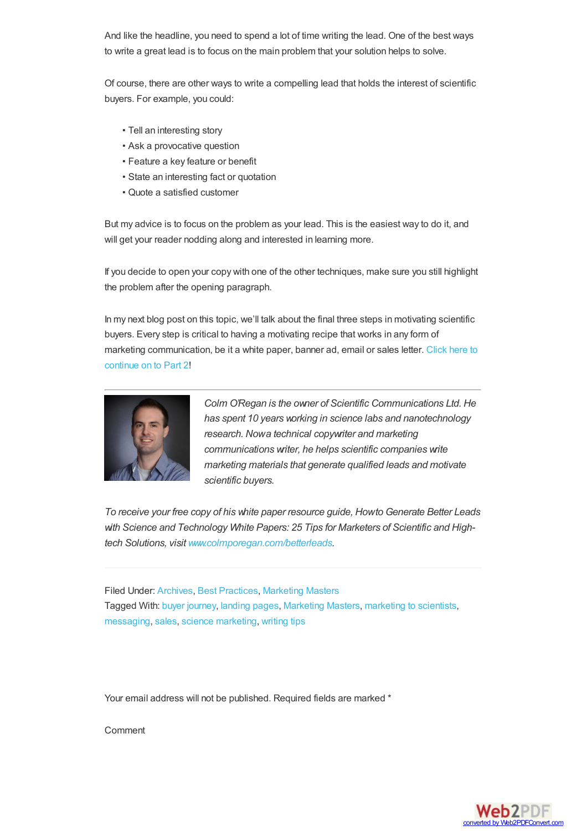And like the headline, you need to spend a lot of time writing the lead. One of the best ways to write a great lead is to focus on the main problem that your solution helps to solve.

Of course, there are other ways to write a compelling lead that holds the interest of scientific buyers. For example, you could:

- Tell an interesting story
- Ask a provocative question
- Feature a key feature or benefit
- State an interesting fact or quotation
- Quote a satisfied customer

But my advice is to focus on the problem as your lead. This is the easiest way to do it, and will get your reader nodding along and interested in learning more.

If you decide to open your copy with one of the other techniques, make sure you still highlight the problem after the opening paragraph.

In my next blog post on this topic, we'll talk about the final three steps in motivating scientific buyers. Every step is critical to having a motivating recipe that works in any form of marketing [communication,](http://acsmediakit.org/blog/motivating-scientific-buyers-part-2-primer-marketers-science-technology/) be it a white paper, banner ad, email or sales letter. Click here to continue on to Part 2!



*Colm O'Regan is the owner of Scientific Communications Ltd. He has spent 10 years working in science labs and nanotechnology research. Nowa technical copywriter and marketing communications writer, he helps scientific companies write marketing materials that generate qualified leads and motivate scientific buyers.*

*To receive your free copy of his white paper resource guide, Howto Generate Better Leads with Science and Technology White Papers: 25 Tips for Marketers of Scientific and Hightech Solutions, visit [www.colmporegan.com/betterleads](http://www.colmporegan.com/betterleads).*

Filed Under: [Archives](http://acsmediakit.org/blog/category/archives/), Best [Practices](http://acsmediakit.org/blog/category/best-practices/), [Marketing](http://acsmediakit.org/blog/category/marketingmasters/) Masters Tagged With: buyer [journey](http://acsmediakit.org/blog/tag/buyer-journey/), [landing](http://acsmediakit.org/blog/tag/landing-pages/) pages, [Marketing](http://acsmediakit.org/blog/tag/marketing-masters/) Masters, [marketing](http://acsmediakit.org/blog/tag/marketing-to-scientists/) to scientists, [messaging](http://acsmediakit.org/blog/tag/messaging/), [sales](http://acsmediakit.org/blog/tag/sales/), science [marketing](http://acsmediakit.org/blog/tag/science-marketing/), [writing](http://acsmediakit.org/blog/tag/writing-tips/) tips

Your email address will not be published. Required fields are marked \*

Comment

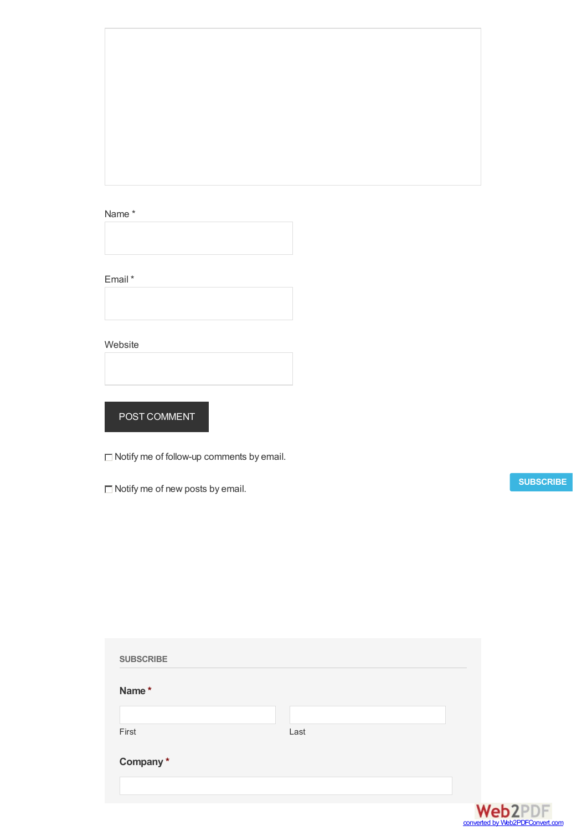## <span id="page-3-0"></span>Name \*

Email \*



Website

POST COMMENT

 $\Box$  Notify me of follow-up comments by email.

 $\Box$  Notify me of new posts by email.

**[SUBSCRIBE](http://acsmediakit.org/subscribe/)**

| <b>SUBSCRIBE</b> |      |
|------------------|------|
| Name*            |      |
|                  |      |
| First            | Last |
| Company*         |      |
|                  |      |
|                  |      |

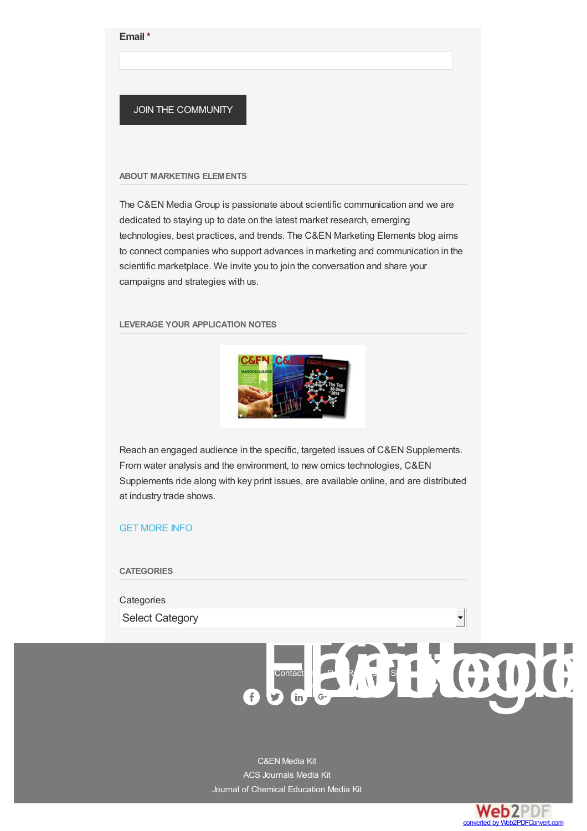#### **Email \***

## JOIN THE COMMUNITY

#### **ABOUT MARKETING ELEMENTS**

The C&EN Media Group is passionate about scientific communication and we are dedicated to staying up to date on the latest market research, emerging technologies, best practices, and trends. The C&EN Marketing Elements blog aims to connect companies who support advances in marketing and communication in the scientific marketplace. We invite you to join the conversation and share your campaigns and strategies with us.

## **LEVERAGE YOUR APPLICATION NOTES**



Reach an engaged audience in the specific, targeted issues of C&EN Supplements. From water analysis and the environment, to new omics technologies, C&EN Supplements ride along with key print issues, are available online, and are distributed at industry trade shows.

## GET [MORE](http://acsmediakit.org/blog/6-steps-motivating-scientific-buyers-primer-marketers-science-technology-part-1/bit.ly/1E1Gzre) INFO

### **CATEGORIES**

#### **Categories**

Select Category

[C&EN](http://connect.acspubs.org/2016-CEN-Media-Kit?src=footer) Media Kit ACS [Journals](http://app.acspubs.org/e/er?s=1913652004&lid=518&elq=spanclass=eloquaemailrecipientid/span) Media Kit Journal of Chemical [Education](http://images.acspubs.org/Web/AmericanChemicalSociety/%7Be6b4c358-f139-4791-aa17-a9db87413700%7D_JCE_2016_Media_Kit.pdf) Media Kit



Cont[a](https://plus.google.com/u/0/b/106011935819425732250/106011935819425732250/posts)ct BLGH CODE